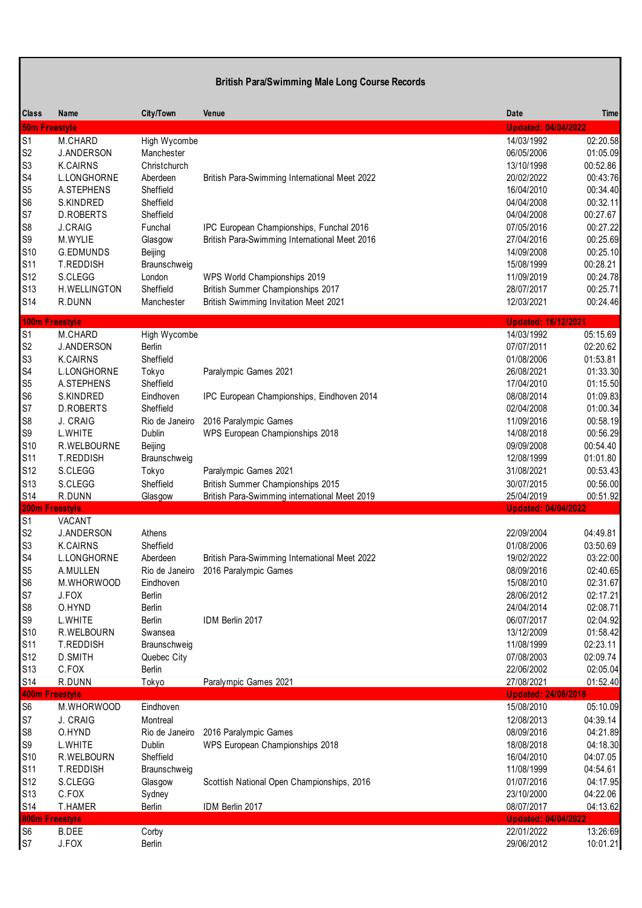| <b>British Para/Swimming Male Long Course Records</b>                                                                                                                      |                                                                                                                                                                                                                    |                                                                                                                                                                             |                                                                                                                                                                                                                                                |                                                                                                                                                                                                                                |                                                                                                                                                                      |  |
|----------------------------------------------------------------------------------------------------------------------------------------------------------------------------|--------------------------------------------------------------------------------------------------------------------------------------------------------------------------------------------------------------------|-----------------------------------------------------------------------------------------------------------------------------------------------------------------------------|------------------------------------------------------------------------------------------------------------------------------------------------------------------------------------------------------------------------------------------------|--------------------------------------------------------------------------------------------------------------------------------------------------------------------------------------------------------------------------------|----------------------------------------------------------------------------------------------------------------------------------------------------------------------|--|
| Class                                                                                                                                                                      | Name<br><b>50m Freestyle</b>                                                                                                                                                                                       | City/Town                                                                                                                                                                   | Venue                                                                                                                                                                                                                                          | Date<br><b>Updated: 04/04/2022</b>                                                                                                                                                                                             | Time                                                                                                                                                                 |  |
| $\overline{S1}$<br>S <sub>2</sub><br>S <sub>3</sub><br>S4<br>S <sub>5</sub><br>S <sub>6</sub><br>S7<br>S8<br>S9<br>S <sub>10</sub><br>S <sub>11</sub><br>S12<br>S13        | M.CHARD<br><b>J.ANDERSON</b><br><b>K.CAIRNS</b><br>L.LONGHORNE<br>A.STEPHENS<br>S.KINDRED<br>D.ROBERTS<br><b>J.CRAIG</b><br>M.WYLIE<br>G.EDMUNDS<br>T.REDDISH<br>S.CLEGG<br>H.WELLINGTON                           | High Wycombe<br>Manchester<br>Christchurch<br>Aberdeen<br>Sheffield<br>Sheffield<br>Sheffield<br>Funchal<br>Glasgow<br>Beijing<br>Braunschweig<br>London<br>Sheffield       | British Para-Swimming International Meet 2022<br>IPC European Championships, Funchal 2016<br>British Para-Swimming International Meet 2016<br>WPS World Championships 2019<br>British Summer Championships 2017                                | 14/03/1992<br>06/05/2006<br>13/10/1998<br>20/02/2022<br>16/04/2010<br>04/04/2008<br>04/04/2008<br>07/05/2016<br>27/04/2016<br>14/09/2008<br>15/08/1999<br>11/09/2019<br>28/07/2017                                             | 02:20.58<br>01:05.09<br>00:52.86<br>00:43:76<br>00:34.40<br>00:32.11<br>00:27.67<br>00:27.22<br>00:25.69<br>00:25.10<br>00:28.21<br>00:24.78<br>00:25.71             |  |
| S14                                                                                                                                                                        | R.DUNN                                                                                                                                                                                                             | Manchester                                                                                                                                                                  | <b>British Swimming Invitation Meet 2021</b>                                                                                                                                                                                                   | 12/03/2021                                                                                                                                                                                                                     | 00:24.46                                                                                                                                                             |  |
| $\overline{S1}$<br>S <sub>2</sub><br>S <sub>3</sub><br>S4<br>S <sub>5</sub><br>S <sub>6</sub><br>S7<br>S8<br>S9<br>S <sub>10</sub><br>S <sub>11</sub><br>S12<br>S13<br>S14 | <b>100m Freestyle</b><br>M.CHARD<br><b>J.ANDERSON</b><br><b>K.CAIRNS</b><br>L.LONGHORNE<br>A.STEPHENS<br>S.KINDRED<br>D.ROBERTS<br>J. CRAIG<br>L.WHITE<br>R.WELBOURNE<br>T.REDDISH<br>S.CLEGG<br>S.CLEGG<br>R.DUNN | High Wycombe<br>Berlin<br>Sheffield<br>Tokyo<br>Sheffield<br>Eindhoven<br>Sheffield<br>Rio de Janeiro<br>Dublin<br>Beijing<br>Braunschweig<br>Tokyo<br>Sheffield<br>Glasgow | Paralympic Games 2021<br>IPC European Championships, Eindhoven 2014<br>2016 Paralympic Games<br>WPS European Championships 2018<br>Paralympic Games 2021<br>British Summer Championships 2015<br>British Para-Swimming international Meet 2019 | <b>Updated: 16/12/2021</b><br>14/03/1992<br>07/07/2011<br>01/08/2006<br>26/08/2021<br>17/04/2010<br>08/08/2014<br>02/04/2008<br>11/09/2016<br>14/08/2018<br>09/09/2008<br>12/08/1999<br>31/08/2021<br>30/07/2015<br>25/04/2019 | 05:15.69<br>02:20.62<br>01:53.81<br>01:33.30<br>01:15.50<br>01:09.83<br>01:00.34<br>00:58.19<br>00:56.29<br>00:54.40<br>01:01.80<br>00:53.43<br>00:56.00<br>00:51.92 |  |
| S <sub>1</sub><br>S <sub>2</sub><br>S <sub>3</sub><br>S <sub>4</sub><br>S5<br>S <sub>6</sub><br>S7<br>S8<br>S9<br>S10<br>S <sub>11</sub><br>S12<br>S13<br>S14              | 200m Freestyle<br>VACANT<br><b>J.ANDERSON</b><br>K.CAIRNS<br>L.LONGHORNE<br>A.MULLEN<br>M.WHORWOOD<br>J.FOX<br>O.HYND<br>L.WHITE<br>R.WELBOURN<br>T.REDDISH<br>D.SMITH<br>C.FOX<br>R.DUNN                          | Athens<br>Sheffield<br>Aberdeen<br>Rio de Janeiro<br>Eindhoven<br>Berlin<br>Berlin<br>Berlin<br>Swansea<br>Braunschweig<br>Quebec City<br>Berlin<br>Tokyo                   | British Para-Swimming International Meet 2022<br>2016 Paralympic Games<br>IDM Berlin 2017<br>Paralympic Games 2021                                                                                                                             | <b>Updated: 04/04/2022</b><br>22/09/2004<br>01/08/2006<br>19/02/2022<br>08/09/2016<br>15/08/2010<br>28/06/2012<br>24/04/2014<br>06/07/2017<br>13/12/2009<br>11/08/1999<br>07/08/2003<br>22/06/2002<br>27/08/2021               | 04:49.81<br>03:50.69<br>03:22:00<br>02:40.65<br>02:31.67<br>02:17.21<br>02:08.71<br>02:04.92<br>01:58.42<br>02:23.11<br>02:09.74<br>02:05.04<br>01:52.40             |  |
| S <sub>6</sub><br>S7<br>S8<br>S9<br>S <sub>10</sub><br>S <sub>11</sub><br>S12<br>S13<br>S14                                                                                | <b>400m Freestyle</b><br>M.WHORWOOD<br>J. CRAIG<br>O.HYND<br>L.WHITE<br>R.WELBOURN<br>T.REDDISH<br>S.CLEGG<br>C.FOX<br>T.HAMER                                                                                     | Eindhoven<br>Montreal<br>Rio de Janeiro<br>Dublin<br>Sheffield<br>Braunschweig<br>Glasgow<br>Sydney<br>Berlin                                                               | 2016 Paralympic Games<br>WPS European Championships 2018<br>Scottish National Open Championships, 2016<br>IDM Berlin 2017                                                                                                                      | <b>Updated: 24/08/2018</b><br>15/08/2010<br>12/08/2013<br>08/09/2016<br>18/08/2018<br>16/04/2010<br>11/08/1999<br>01/07/2016<br>23/10/2000<br>08/07/2017                                                                       | 05:10.09<br>04:39.14<br>04:21.89<br>04:18.30<br>04:07.05<br>04:54.61<br>04:17.95<br>04:22.06<br>04:13.62                                                             |  |
| S <sub>6</sub><br>S7                                                                                                                                                       | 800m Freestyle<br><b>B.DEE</b><br>J.FOX                                                                                                                                                                            | Corby<br>Berlin                                                                                                                                                             |                                                                                                                                                                                                                                                | <b>Updated: 04/04/2022</b><br>22/01/2022<br>29/06/2012                                                                                                                                                                         | 13:26:69<br>10:01.21                                                                                                                                                 |  |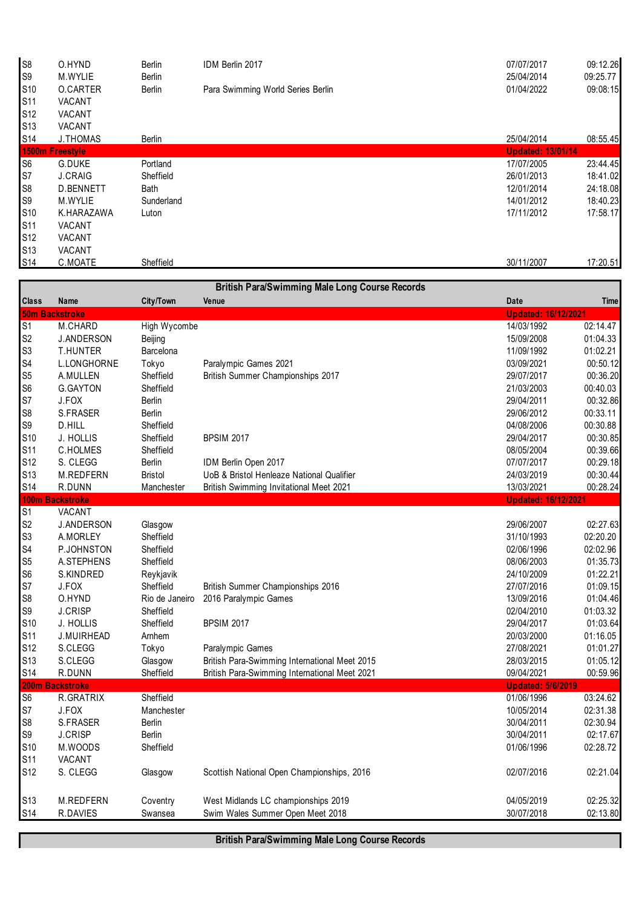| S <sub>8</sub>  | O.HYND          | <b>Berlin</b> | IDM Berlin 2017                   | 07/07/2017               | 09:12.26 |
|-----------------|-----------------|---------------|-----------------------------------|--------------------------|----------|
| S <sub>9</sub>  | M.WYLIE         | <b>Berlin</b> |                                   | 25/04/2014               | 09:25.77 |
| S <sub>10</sub> | <b>O.CARTER</b> | <b>Berlin</b> | Para Swimming World Series Berlin | 01/04/2022               | 09:08:15 |
| S <sub>11</sub> | <b>VACANT</b>   |               |                                   |                          |          |
| S <sub>12</sub> | <b>VACANT</b>   |               |                                   |                          |          |
| S <sub>13</sub> | <b>VACANT</b>   |               |                                   |                          |          |
| S14             | <b>J.THOMAS</b> | Berlin        |                                   | 25/04/2014               | 08:55.45 |
|                 | 1500m Freestyle |               |                                   | <b>Updated: 13/01/14</b> |          |
| S <sub>6</sub>  | G.DUKE          | Portland      |                                   | 17/07/2005               | 23:44.45 |
| S7              | <b>J.CRAIG</b>  | Sheffield     |                                   | 26/01/2013               | 18:41.02 |
| S <sub>8</sub>  | D.BENNETT       | Bath          |                                   | 12/01/2014               | 24:18.08 |
| S <sub>9</sub>  | M.WYLIE         | Sunderland    |                                   | 14/01/2012               | 18:40.23 |
| S <sub>10</sub> | K.HARAZAWA      | Luton         |                                   | 17/11/2012               | 17:58.17 |
| S <sub>11</sub> | VACANT          |               |                                   |                          |          |
| S <sub>12</sub> | VACANT          |               |                                   |                          |          |
| S <sub>13</sub> | <b>VACANT</b>   |               |                                   |                          |          |
| S <sub>14</sub> | C.MOATE         | Sheffield     |                                   | 30/11/2007               | 17:20.51 |

| <b>Class</b><br><b>City/Town</b><br>Name<br>Venue<br>Date<br><b>50m Backstroke</b><br><b>Updated: 16/12/2021</b><br>02:14.47<br>S <sub>1</sub><br>M.CHARD<br>High Wycombe<br>14/03/1992<br>S <sub>2</sub><br>15/09/2008<br>01:04.33<br><b>J.ANDERSON</b><br>Beijing<br>S <sub>3</sub><br>Barcelona<br>11/09/1992<br>01:02.21<br><b>T.HUNTER</b><br>S <sub>4</sub><br>00:50.12<br>L.LONGHORNE<br>Tokyo<br>Paralympic Games 2021<br>03/09/2021<br>S <sub>5</sub><br>00:36.20<br>Sheffield<br>British Summer Championships 2017<br>29/07/2017<br>A.MULLEN<br>S <sub>6</sub><br>00:40.03<br><b>G.GAYTON</b><br>Sheffield<br>21/03/2003<br>S7<br>J.FOX<br>Berlin<br>29/04/2011<br>00:32.86<br>S <sub>8</sub><br>S.FRASER<br>Berlin<br>29/06/2012<br>00:33.11<br>S9<br>00:30.88<br>D.HILL<br>Sheffield<br>04/08/2006<br>S10<br>Sheffield<br><b>BPSIM 2017</b><br>00:30.85<br>J. HOLLIS<br>29/04/2017<br>S11<br>00:39.66<br>C.HOLMES<br>Sheffield<br>08/05/2004<br>S12<br>00:29.18<br>S. CLEGG<br><b>Berlin</b><br>07/07/2017<br>IDM Berlin Open 2017<br>S13<br>M.REDFERN<br><b>Bristol</b><br>UoB & Bristol Henleaze National Qualifier<br>24/03/2019<br>00:30.44<br><b>S14</b><br>00:28.24<br>R.DUNN<br>Manchester<br><b>British Swimming Invitational Meet 2021</b><br>13/03/2021<br><b>100m</b><br><b>Backstroke</b><br><b>Updated: 16/12/2021</b><br>S <sub>1</sub><br>VACANT<br>S <sub>2</sub><br><b>J.ANDERSON</b><br>29/06/2007<br>02:27.63<br>Glasgow<br>S <sub>3</sub><br>Sheffield<br>02:20.20<br>A.MORLEY<br>31/10/1993<br>S <sub>4</sub><br>Sheffield<br>02:02.96<br>P.JOHNSTON<br>02/06/1996<br>S <sub>5</sub><br>Sheffield<br>08/06/2003<br>01:35.73<br>A.STEPHENS<br>S <sub>6</sub><br>24/10/2009<br>01:22.21<br>S.KINDRED<br>Reykjavik<br>S7<br>01:09.15<br>J.FOX<br>Sheffield<br>British Summer Championships 2016<br>27/07/2016<br>S <sub>8</sub><br>O.HYND<br>2016 Paralympic Games<br>01:04.46<br>Rio de Janeiro<br>13/09/2016<br>$\mathbb{S}9$<br><b>J.CRISP</b><br>Sheffield<br>01:03.32<br>02/04/2010<br>S10<br>01:03.64<br><b>J. HOLLIS</b><br>Sheffield<br><b>BPSIM 2017</b><br>29/04/2017<br>S <sub>11</sub><br>01:16.05<br>20/03/2000<br><b>J.MUIRHEAD</b><br>Arnhem<br>S12<br>S.CLEGG<br>Paralympic Games<br>27/08/2021<br>01:01.27<br>Tokyo<br>S13<br>S.CLEGG<br>British Para-Swimming International Meet 2015<br>01:05.12<br>28/03/2015<br>Glasgow<br><b>S14</b><br>R.DUNN<br>Sheffield<br>British Para-Swimming International Meet 2021<br>09/04/2021<br>00:59.96<br>200m Backstroke<br><b>Updated: 5/6/2019</b><br>S <sub>6</sub><br>Sheffield<br>03:24.62<br>R.GRATRIX<br>01/06/1996<br>S7<br>J.FOX<br>02:31.38<br>Manchester<br>10/05/2014<br>S <sub>8</sub><br>S.FRASER<br>30/04/2011<br>02:30.94<br><b>Berlin</b><br>$\mathbb{S}9$<br><b>J.CRISP</b><br>Berlin<br>30/04/2011<br>02:17.67<br>S10<br>Sheffield<br>02:28.72<br>M.WOODS<br>01/06/1996<br>S <sub>11</sub><br>VACANT<br>S12<br>02:21.04<br>S. CLEGG<br>Scottish National Open Championships, 2016<br>02/07/2016<br>Glasgow<br>M.REDFERN<br>West Midlands LC championships 2019<br>04/05/2019<br>Coventry<br>R.DAVIES<br>Swim Wales Summer Open Meet 2018<br>30/07/2018<br>Swansea |                 |  | <b>British Para/Swimming Male Long Course Records</b> |          |
|---------------------------------------------------------------------------------------------------------------------------------------------------------------------------------------------------------------------------------------------------------------------------------------------------------------------------------------------------------------------------------------------------------------------------------------------------------------------------------------------------------------------------------------------------------------------------------------------------------------------------------------------------------------------------------------------------------------------------------------------------------------------------------------------------------------------------------------------------------------------------------------------------------------------------------------------------------------------------------------------------------------------------------------------------------------------------------------------------------------------------------------------------------------------------------------------------------------------------------------------------------------------------------------------------------------------------------------------------------------------------------------------------------------------------------------------------------------------------------------------------------------------------------------------------------------------------------------------------------------------------------------------------------------------------------------------------------------------------------------------------------------------------------------------------------------------------------------------------------------------------------------------------------------------------------------------------------------------------------------------------------------------------------------------------------------------------------------------------------------------------------------------------------------------------------------------------------------------------------------------------------------------------------------------------------------------------------------------------------------------------------------------------------------------------------------------------------------------------------------------------------------------------------------------------------------------------------------------------------------------------------------------------------------------------------------------------------------------------------------------------------------------------------------------------------------------------------------------------------------------------------------------------------------------------------------------------------------------------------------------------------------------------------------------------------------------------------------------------------------------------------------------------------------------------|-----------------|--|-------------------------------------------------------|----------|
|                                                                                                                                                                                                                                                                                                                                                                                                                                                                                                                                                                                                                                                                                                                                                                                                                                                                                                                                                                                                                                                                                                                                                                                                                                                                                                                                                                                                                                                                                                                                                                                                                                                                                                                                                                                                                                                                                                                                                                                                                                                                                                                                                                                                                                                                                                                                                                                                                                                                                                                                                                                                                                                                                                                                                                                                                                                                                                                                                                                                                                                                                                                                                                           |                 |  |                                                       | Time     |
|                                                                                                                                                                                                                                                                                                                                                                                                                                                                                                                                                                                                                                                                                                                                                                                                                                                                                                                                                                                                                                                                                                                                                                                                                                                                                                                                                                                                                                                                                                                                                                                                                                                                                                                                                                                                                                                                                                                                                                                                                                                                                                                                                                                                                                                                                                                                                                                                                                                                                                                                                                                                                                                                                                                                                                                                                                                                                                                                                                                                                                                                                                                                                                           |                 |  |                                                       |          |
|                                                                                                                                                                                                                                                                                                                                                                                                                                                                                                                                                                                                                                                                                                                                                                                                                                                                                                                                                                                                                                                                                                                                                                                                                                                                                                                                                                                                                                                                                                                                                                                                                                                                                                                                                                                                                                                                                                                                                                                                                                                                                                                                                                                                                                                                                                                                                                                                                                                                                                                                                                                                                                                                                                                                                                                                                                                                                                                                                                                                                                                                                                                                                                           |                 |  |                                                       |          |
|                                                                                                                                                                                                                                                                                                                                                                                                                                                                                                                                                                                                                                                                                                                                                                                                                                                                                                                                                                                                                                                                                                                                                                                                                                                                                                                                                                                                                                                                                                                                                                                                                                                                                                                                                                                                                                                                                                                                                                                                                                                                                                                                                                                                                                                                                                                                                                                                                                                                                                                                                                                                                                                                                                                                                                                                                                                                                                                                                                                                                                                                                                                                                                           |                 |  |                                                       |          |
|                                                                                                                                                                                                                                                                                                                                                                                                                                                                                                                                                                                                                                                                                                                                                                                                                                                                                                                                                                                                                                                                                                                                                                                                                                                                                                                                                                                                                                                                                                                                                                                                                                                                                                                                                                                                                                                                                                                                                                                                                                                                                                                                                                                                                                                                                                                                                                                                                                                                                                                                                                                                                                                                                                                                                                                                                                                                                                                                                                                                                                                                                                                                                                           |                 |  |                                                       |          |
|                                                                                                                                                                                                                                                                                                                                                                                                                                                                                                                                                                                                                                                                                                                                                                                                                                                                                                                                                                                                                                                                                                                                                                                                                                                                                                                                                                                                                                                                                                                                                                                                                                                                                                                                                                                                                                                                                                                                                                                                                                                                                                                                                                                                                                                                                                                                                                                                                                                                                                                                                                                                                                                                                                                                                                                                                                                                                                                                                                                                                                                                                                                                                                           |                 |  |                                                       |          |
|                                                                                                                                                                                                                                                                                                                                                                                                                                                                                                                                                                                                                                                                                                                                                                                                                                                                                                                                                                                                                                                                                                                                                                                                                                                                                                                                                                                                                                                                                                                                                                                                                                                                                                                                                                                                                                                                                                                                                                                                                                                                                                                                                                                                                                                                                                                                                                                                                                                                                                                                                                                                                                                                                                                                                                                                                                                                                                                                                                                                                                                                                                                                                                           |                 |  |                                                       |          |
|                                                                                                                                                                                                                                                                                                                                                                                                                                                                                                                                                                                                                                                                                                                                                                                                                                                                                                                                                                                                                                                                                                                                                                                                                                                                                                                                                                                                                                                                                                                                                                                                                                                                                                                                                                                                                                                                                                                                                                                                                                                                                                                                                                                                                                                                                                                                                                                                                                                                                                                                                                                                                                                                                                                                                                                                                                                                                                                                                                                                                                                                                                                                                                           |                 |  |                                                       |          |
|                                                                                                                                                                                                                                                                                                                                                                                                                                                                                                                                                                                                                                                                                                                                                                                                                                                                                                                                                                                                                                                                                                                                                                                                                                                                                                                                                                                                                                                                                                                                                                                                                                                                                                                                                                                                                                                                                                                                                                                                                                                                                                                                                                                                                                                                                                                                                                                                                                                                                                                                                                                                                                                                                                                                                                                                                                                                                                                                                                                                                                                                                                                                                                           |                 |  |                                                       |          |
|                                                                                                                                                                                                                                                                                                                                                                                                                                                                                                                                                                                                                                                                                                                                                                                                                                                                                                                                                                                                                                                                                                                                                                                                                                                                                                                                                                                                                                                                                                                                                                                                                                                                                                                                                                                                                                                                                                                                                                                                                                                                                                                                                                                                                                                                                                                                                                                                                                                                                                                                                                                                                                                                                                                                                                                                                                                                                                                                                                                                                                                                                                                                                                           |                 |  |                                                       |          |
|                                                                                                                                                                                                                                                                                                                                                                                                                                                                                                                                                                                                                                                                                                                                                                                                                                                                                                                                                                                                                                                                                                                                                                                                                                                                                                                                                                                                                                                                                                                                                                                                                                                                                                                                                                                                                                                                                                                                                                                                                                                                                                                                                                                                                                                                                                                                                                                                                                                                                                                                                                                                                                                                                                                                                                                                                                                                                                                                                                                                                                                                                                                                                                           |                 |  |                                                       |          |
|                                                                                                                                                                                                                                                                                                                                                                                                                                                                                                                                                                                                                                                                                                                                                                                                                                                                                                                                                                                                                                                                                                                                                                                                                                                                                                                                                                                                                                                                                                                                                                                                                                                                                                                                                                                                                                                                                                                                                                                                                                                                                                                                                                                                                                                                                                                                                                                                                                                                                                                                                                                                                                                                                                                                                                                                                                                                                                                                                                                                                                                                                                                                                                           |                 |  |                                                       |          |
|                                                                                                                                                                                                                                                                                                                                                                                                                                                                                                                                                                                                                                                                                                                                                                                                                                                                                                                                                                                                                                                                                                                                                                                                                                                                                                                                                                                                                                                                                                                                                                                                                                                                                                                                                                                                                                                                                                                                                                                                                                                                                                                                                                                                                                                                                                                                                                                                                                                                                                                                                                                                                                                                                                                                                                                                                                                                                                                                                                                                                                                                                                                                                                           |                 |  |                                                       |          |
|                                                                                                                                                                                                                                                                                                                                                                                                                                                                                                                                                                                                                                                                                                                                                                                                                                                                                                                                                                                                                                                                                                                                                                                                                                                                                                                                                                                                                                                                                                                                                                                                                                                                                                                                                                                                                                                                                                                                                                                                                                                                                                                                                                                                                                                                                                                                                                                                                                                                                                                                                                                                                                                                                                                                                                                                                                                                                                                                                                                                                                                                                                                                                                           |                 |  |                                                       |          |
|                                                                                                                                                                                                                                                                                                                                                                                                                                                                                                                                                                                                                                                                                                                                                                                                                                                                                                                                                                                                                                                                                                                                                                                                                                                                                                                                                                                                                                                                                                                                                                                                                                                                                                                                                                                                                                                                                                                                                                                                                                                                                                                                                                                                                                                                                                                                                                                                                                                                                                                                                                                                                                                                                                                                                                                                                                                                                                                                                                                                                                                                                                                                                                           |                 |  |                                                       |          |
|                                                                                                                                                                                                                                                                                                                                                                                                                                                                                                                                                                                                                                                                                                                                                                                                                                                                                                                                                                                                                                                                                                                                                                                                                                                                                                                                                                                                                                                                                                                                                                                                                                                                                                                                                                                                                                                                                                                                                                                                                                                                                                                                                                                                                                                                                                                                                                                                                                                                                                                                                                                                                                                                                                                                                                                                                                                                                                                                                                                                                                                                                                                                                                           |                 |  |                                                       |          |
|                                                                                                                                                                                                                                                                                                                                                                                                                                                                                                                                                                                                                                                                                                                                                                                                                                                                                                                                                                                                                                                                                                                                                                                                                                                                                                                                                                                                                                                                                                                                                                                                                                                                                                                                                                                                                                                                                                                                                                                                                                                                                                                                                                                                                                                                                                                                                                                                                                                                                                                                                                                                                                                                                                                                                                                                                                                                                                                                                                                                                                                                                                                                                                           |                 |  |                                                       |          |
|                                                                                                                                                                                                                                                                                                                                                                                                                                                                                                                                                                                                                                                                                                                                                                                                                                                                                                                                                                                                                                                                                                                                                                                                                                                                                                                                                                                                                                                                                                                                                                                                                                                                                                                                                                                                                                                                                                                                                                                                                                                                                                                                                                                                                                                                                                                                                                                                                                                                                                                                                                                                                                                                                                                                                                                                                                                                                                                                                                                                                                                                                                                                                                           |                 |  |                                                       |          |
|                                                                                                                                                                                                                                                                                                                                                                                                                                                                                                                                                                                                                                                                                                                                                                                                                                                                                                                                                                                                                                                                                                                                                                                                                                                                                                                                                                                                                                                                                                                                                                                                                                                                                                                                                                                                                                                                                                                                                                                                                                                                                                                                                                                                                                                                                                                                                                                                                                                                                                                                                                                                                                                                                                                                                                                                                                                                                                                                                                                                                                                                                                                                                                           |                 |  |                                                       |          |
|                                                                                                                                                                                                                                                                                                                                                                                                                                                                                                                                                                                                                                                                                                                                                                                                                                                                                                                                                                                                                                                                                                                                                                                                                                                                                                                                                                                                                                                                                                                                                                                                                                                                                                                                                                                                                                                                                                                                                                                                                                                                                                                                                                                                                                                                                                                                                                                                                                                                                                                                                                                                                                                                                                                                                                                                                                                                                                                                                                                                                                                                                                                                                                           |                 |  |                                                       |          |
|                                                                                                                                                                                                                                                                                                                                                                                                                                                                                                                                                                                                                                                                                                                                                                                                                                                                                                                                                                                                                                                                                                                                                                                                                                                                                                                                                                                                                                                                                                                                                                                                                                                                                                                                                                                                                                                                                                                                                                                                                                                                                                                                                                                                                                                                                                                                                                                                                                                                                                                                                                                                                                                                                                                                                                                                                                                                                                                                                                                                                                                                                                                                                                           |                 |  |                                                       |          |
|                                                                                                                                                                                                                                                                                                                                                                                                                                                                                                                                                                                                                                                                                                                                                                                                                                                                                                                                                                                                                                                                                                                                                                                                                                                                                                                                                                                                                                                                                                                                                                                                                                                                                                                                                                                                                                                                                                                                                                                                                                                                                                                                                                                                                                                                                                                                                                                                                                                                                                                                                                                                                                                                                                                                                                                                                                                                                                                                                                                                                                                                                                                                                                           |                 |  |                                                       |          |
|                                                                                                                                                                                                                                                                                                                                                                                                                                                                                                                                                                                                                                                                                                                                                                                                                                                                                                                                                                                                                                                                                                                                                                                                                                                                                                                                                                                                                                                                                                                                                                                                                                                                                                                                                                                                                                                                                                                                                                                                                                                                                                                                                                                                                                                                                                                                                                                                                                                                                                                                                                                                                                                                                                                                                                                                                                                                                                                                                                                                                                                                                                                                                                           |                 |  |                                                       |          |
|                                                                                                                                                                                                                                                                                                                                                                                                                                                                                                                                                                                                                                                                                                                                                                                                                                                                                                                                                                                                                                                                                                                                                                                                                                                                                                                                                                                                                                                                                                                                                                                                                                                                                                                                                                                                                                                                                                                                                                                                                                                                                                                                                                                                                                                                                                                                                                                                                                                                                                                                                                                                                                                                                                                                                                                                                                                                                                                                                                                                                                                                                                                                                                           |                 |  |                                                       |          |
|                                                                                                                                                                                                                                                                                                                                                                                                                                                                                                                                                                                                                                                                                                                                                                                                                                                                                                                                                                                                                                                                                                                                                                                                                                                                                                                                                                                                                                                                                                                                                                                                                                                                                                                                                                                                                                                                                                                                                                                                                                                                                                                                                                                                                                                                                                                                                                                                                                                                                                                                                                                                                                                                                                                                                                                                                                                                                                                                                                                                                                                                                                                                                                           |                 |  |                                                       |          |
|                                                                                                                                                                                                                                                                                                                                                                                                                                                                                                                                                                                                                                                                                                                                                                                                                                                                                                                                                                                                                                                                                                                                                                                                                                                                                                                                                                                                                                                                                                                                                                                                                                                                                                                                                                                                                                                                                                                                                                                                                                                                                                                                                                                                                                                                                                                                                                                                                                                                                                                                                                                                                                                                                                                                                                                                                                                                                                                                                                                                                                                                                                                                                                           |                 |  |                                                       |          |
|                                                                                                                                                                                                                                                                                                                                                                                                                                                                                                                                                                                                                                                                                                                                                                                                                                                                                                                                                                                                                                                                                                                                                                                                                                                                                                                                                                                                                                                                                                                                                                                                                                                                                                                                                                                                                                                                                                                                                                                                                                                                                                                                                                                                                                                                                                                                                                                                                                                                                                                                                                                                                                                                                                                                                                                                                                                                                                                                                                                                                                                                                                                                                                           |                 |  |                                                       |          |
|                                                                                                                                                                                                                                                                                                                                                                                                                                                                                                                                                                                                                                                                                                                                                                                                                                                                                                                                                                                                                                                                                                                                                                                                                                                                                                                                                                                                                                                                                                                                                                                                                                                                                                                                                                                                                                                                                                                                                                                                                                                                                                                                                                                                                                                                                                                                                                                                                                                                                                                                                                                                                                                                                                                                                                                                                                                                                                                                                                                                                                                                                                                                                                           |                 |  |                                                       |          |
|                                                                                                                                                                                                                                                                                                                                                                                                                                                                                                                                                                                                                                                                                                                                                                                                                                                                                                                                                                                                                                                                                                                                                                                                                                                                                                                                                                                                                                                                                                                                                                                                                                                                                                                                                                                                                                                                                                                                                                                                                                                                                                                                                                                                                                                                                                                                                                                                                                                                                                                                                                                                                                                                                                                                                                                                                                                                                                                                                                                                                                                                                                                                                                           |                 |  |                                                       |          |
|                                                                                                                                                                                                                                                                                                                                                                                                                                                                                                                                                                                                                                                                                                                                                                                                                                                                                                                                                                                                                                                                                                                                                                                                                                                                                                                                                                                                                                                                                                                                                                                                                                                                                                                                                                                                                                                                                                                                                                                                                                                                                                                                                                                                                                                                                                                                                                                                                                                                                                                                                                                                                                                                                                                                                                                                                                                                                                                                                                                                                                                                                                                                                                           |                 |  |                                                       |          |
|                                                                                                                                                                                                                                                                                                                                                                                                                                                                                                                                                                                                                                                                                                                                                                                                                                                                                                                                                                                                                                                                                                                                                                                                                                                                                                                                                                                                                                                                                                                                                                                                                                                                                                                                                                                                                                                                                                                                                                                                                                                                                                                                                                                                                                                                                                                                                                                                                                                                                                                                                                                                                                                                                                                                                                                                                                                                                                                                                                                                                                                                                                                                                                           |                 |  |                                                       |          |
|                                                                                                                                                                                                                                                                                                                                                                                                                                                                                                                                                                                                                                                                                                                                                                                                                                                                                                                                                                                                                                                                                                                                                                                                                                                                                                                                                                                                                                                                                                                                                                                                                                                                                                                                                                                                                                                                                                                                                                                                                                                                                                                                                                                                                                                                                                                                                                                                                                                                                                                                                                                                                                                                                                                                                                                                                                                                                                                                                                                                                                                                                                                                                                           |                 |  |                                                       |          |
|                                                                                                                                                                                                                                                                                                                                                                                                                                                                                                                                                                                                                                                                                                                                                                                                                                                                                                                                                                                                                                                                                                                                                                                                                                                                                                                                                                                                                                                                                                                                                                                                                                                                                                                                                                                                                                                                                                                                                                                                                                                                                                                                                                                                                                                                                                                                                                                                                                                                                                                                                                                                                                                                                                                                                                                                                                                                                                                                                                                                                                                                                                                                                                           |                 |  |                                                       |          |
|                                                                                                                                                                                                                                                                                                                                                                                                                                                                                                                                                                                                                                                                                                                                                                                                                                                                                                                                                                                                                                                                                                                                                                                                                                                                                                                                                                                                                                                                                                                                                                                                                                                                                                                                                                                                                                                                                                                                                                                                                                                                                                                                                                                                                                                                                                                                                                                                                                                                                                                                                                                                                                                                                                                                                                                                                                                                                                                                                                                                                                                                                                                                                                           |                 |  |                                                       |          |
|                                                                                                                                                                                                                                                                                                                                                                                                                                                                                                                                                                                                                                                                                                                                                                                                                                                                                                                                                                                                                                                                                                                                                                                                                                                                                                                                                                                                                                                                                                                                                                                                                                                                                                                                                                                                                                                                                                                                                                                                                                                                                                                                                                                                                                                                                                                                                                                                                                                                                                                                                                                                                                                                                                                                                                                                                                                                                                                                                                                                                                                                                                                                                                           |                 |  |                                                       |          |
|                                                                                                                                                                                                                                                                                                                                                                                                                                                                                                                                                                                                                                                                                                                                                                                                                                                                                                                                                                                                                                                                                                                                                                                                                                                                                                                                                                                                                                                                                                                                                                                                                                                                                                                                                                                                                                                                                                                                                                                                                                                                                                                                                                                                                                                                                                                                                                                                                                                                                                                                                                                                                                                                                                                                                                                                                                                                                                                                                                                                                                                                                                                                                                           |                 |  |                                                       |          |
|                                                                                                                                                                                                                                                                                                                                                                                                                                                                                                                                                                                                                                                                                                                                                                                                                                                                                                                                                                                                                                                                                                                                                                                                                                                                                                                                                                                                                                                                                                                                                                                                                                                                                                                                                                                                                                                                                                                                                                                                                                                                                                                                                                                                                                                                                                                                                                                                                                                                                                                                                                                                                                                                                                                                                                                                                                                                                                                                                                                                                                                                                                                                                                           |                 |  |                                                       |          |
|                                                                                                                                                                                                                                                                                                                                                                                                                                                                                                                                                                                                                                                                                                                                                                                                                                                                                                                                                                                                                                                                                                                                                                                                                                                                                                                                                                                                                                                                                                                                                                                                                                                                                                                                                                                                                                                                                                                                                                                                                                                                                                                                                                                                                                                                                                                                                                                                                                                                                                                                                                                                                                                                                                                                                                                                                                                                                                                                                                                                                                                                                                                                                                           |                 |  |                                                       |          |
|                                                                                                                                                                                                                                                                                                                                                                                                                                                                                                                                                                                                                                                                                                                                                                                                                                                                                                                                                                                                                                                                                                                                                                                                                                                                                                                                                                                                                                                                                                                                                                                                                                                                                                                                                                                                                                                                                                                                                                                                                                                                                                                                                                                                                                                                                                                                                                                                                                                                                                                                                                                                                                                                                                                                                                                                                                                                                                                                                                                                                                                                                                                                                                           |                 |  |                                                       |          |
|                                                                                                                                                                                                                                                                                                                                                                                                                                                                                                                                                                                                                                                                                                                                                                                                                                                                                                                                                                                                                                                                                                                                                                                                                                                                                                                                                                                                                                                                                                                                                                                                                                                                                                                                                                                                                                                                                                                                                                                                                                                                                                                                                                                                                                                                                                                                                                                                                                                                                                                                                                                                                                                                                                                                                                                                                                                                                                                                                                                                                                                                                                                                                                           | S <sub>13</sub> |  |                                                       | 02:25.32 |
|                                                                                                                                                                                                                                                                                                                                                                                                                                                                                                                                                                                                                                                                                                                                                                                                                                                                                                                                                                                                                                                                                                                                                                                                                                                                                                                                                                                                                                                                                                                                                                                                                                                                                                                                                                                                                                                                                                                                                                                                                                                                                                                                                                                                                                                                                                                                                                                                                                                                                                                                                                                                                                                                                                                                                                                                                                                                                                                                                                                                                                                                                                                                                                           | <b>S14</b>      |  |                                                       | 02:13.80 |

**British Para/Swimming Male Long Course Records**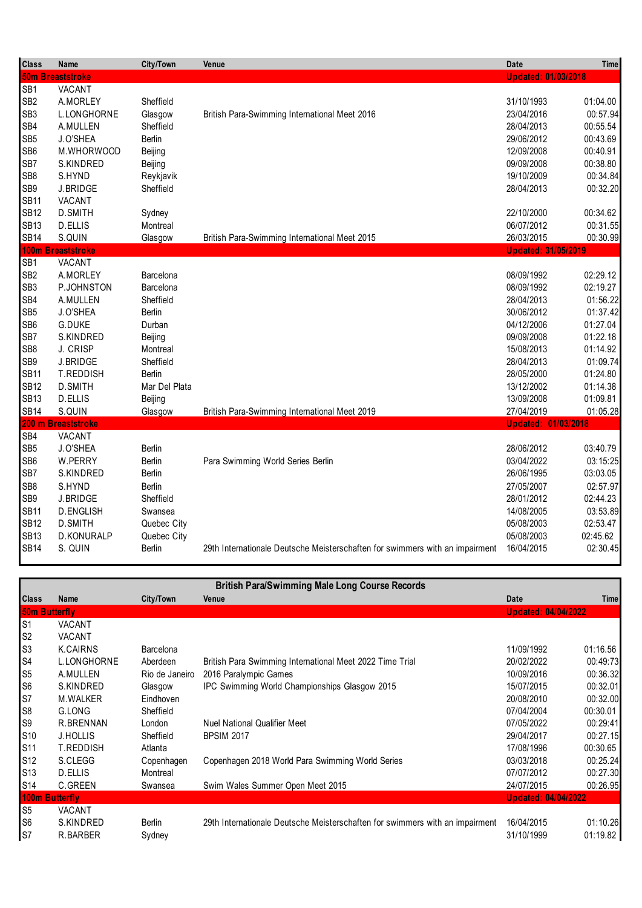| <b>Class</b>                                          | Name                                       | City/Town              | Venue                                                                        | <b>Date</b>                | <b>Time</b>          |
|-------------------------------------------------------|--------------------------------------------|------------------------|------------------------------------------------------------------------------|----------------------------|----------------------|
|                                                       | <b>50m Breaststroke</b>                    |                        |                                                                              | <b>Updated: 01/03/2018</b> |                      |
| SB <sub>1</sub><br>SB <sub>2</sub><br>SB <sub>3</sub> | VACANT<br>A.MORLEY<br>L.LONGHORNE          | Sheffield<br>Glasgow   | British Para-Swimming International Meet 2016                                | 31/10/1993<br>23/04/2016   | 01:04.00<br>00:57.94 |
| SB4                                                   | A.MULLEN                                   | Sheffield              |                                                                              | 28/04/2013                 | 00:55.54             |
| SB <sub>5</sub>                                       | J.O'SHEA                                   | <b>Berlin</b>          |                                                                              | 29/06/2012                 | 00:43.69             |
| SB6                                                   | M.WHORWOOD                                 | Beijing                |                                                                              | 12/09/2008                 | 00:40.91             |
| SB7                                                   | S.KINDRED                                  | Beijing                |                                                                              | 09/09/2008                 | 00:38.80             |
| SB8<br>SB <sub>9</sub><br><b>SB11</b>                 | S.HYND<br><b>J.BRIDGE</b><br><b>VACANT</b> | Reykjavik<br>Sheffield |                                                                              | 19/10/2009<br>28/04/2013   | 00:34.84<br>00:32.20 |
| <b>SB12</b>                                           | D.SMITH                                    | Sydney                 | British Para-Swimming International Meet 2015                                | 22/10/2000                 | 00:34.62             |
| <b>SB13</b>                                           | D.ELLIS                                    | Montreal               |                                                                              | 06/07/2012                 | 00:31.55             |
| <b>SB14</b>                                           | S.QUIN                                     | Glasgow                |                                                                              | 26/03/2015                 | 00:30.99             |
|                                                       | 100m Breaststroke                          |                        |                                                                              | <b>Updated: 31/05/2019</b> |                      |
| SB <sub>1</sub>                                       | VACANT                                     |                        |                                                                              |                            |                      |
| SB <sub>2</sub>                                       | A.MORLEY                                   | Barcelona              |                                                                              | 08/09/1992                 | 02:29.12             |
| SB <sub>3</sub>                                       | P.JOHNSTON                                 | Barcelona              |                                                                              | 08/09/1992                 | 02:19.27             |
| SB4                                                   | A.MULLEN                                   | Sheffield              |                                                                              | 28/04/2013                 | 01:56.22             |
| SB <sub>5</sub>                                       | J.O'SHEA                                   | Berlin                 |                                                                              | 30/06/2012                 | 01:37.42             |
| SB6                                                   | <b>G.DUKE</b>                              | Durban                 |                                                                              | 04/12/2006                 | 01:27.04             |
| SB7                                                   | S.KINDRED                                  | Beijing                |                                                                              | 09/09/2008                 | 01:22.18             |
| SB <sub>8</sub>                                       | J. CRISP                                   | Montreal               |                                                                              | 15/08/2013                 | 01:14.92             |
| SB9                                                   | J.BRIDGE                                   | Sheffield              |                                                                              | 28/04/2013                 | 01:09.74             |
| <b>SB11</b>                                           | T.REDDISH                                  | <b>Berlin</b>          |                                                                              | 28/05/2000                 | 01:24.80             |
| <b>SB12</b>                                           | <b>D.SMITH</b>                             | Mar Del Plata          | British Para-Swimming International Meet 2019                                | 13/12/2002                 | 01:14.38             |
| <b>SB13</b>                                           | D.ELLIS                                    | Beijing                |                                                                              | 13/09/2008                 | 01:09.81             |
| <b>SB14</b>                                           | S.QUIN                                     | Glasgow                |                                                                              | 27/04/2019                 | 01:05.28             |
|                                                       | 200 m Breaststroke                         |                        |                                                                              | <b>Updated: 01/03/2018</b> |                      |
| SB4<br>SB <sub>5</sub><br>SB <sub>6</sub>             | VACANT<br>J.O'SHEA<br>W.PERRY              | Berlin<br>Berlin       |                                                                              | 28/06/2012<br>03/04/2022   | 03:40.79<br>03:15:25 |
| SB7                                                   | S.KINDRED                                  | Berlin                 | Para Swimming World Series Berlin                                            | 26/06/1995                 | 03:03.05             |
| SB <sub>8</sub>                                       | S.HYND                                     | Berlin                 |                                                                              | 27/05/2007                 | 02:57.97             |
| SB9                                                   | J.BRIDGE                                   | Sheffield              |                                                                              | 28/01/2012                 | 02:44.23             |
| <b>SB11</b>                                           | <b>D.ENGLISH</b>                           | Swansea                |                                                                              | 14/08/2005                 | 03:53.89             |
| <b>SB12</b>                                           | D.SMITH                                    | Quebec City            |                                                                              | 05/08/2003                 | 02:53.47             |
| <b>SB13</b>                                           | D.KONURALP                                 | Quebec City            |                                                                              | 05/08/2003                 | 02:45.62             |
| <b>SB14</b>                                           | S. QUIN                                    | Berlin                 | 29th Internationale Deutsche Meisterschaften for swimmers with an impairment | 16/04/2015                 | 02:30.45             |

| <b>British Para/Swimming Male Long Course Records</b> |                  |                  |                                                                              |                            |             |  |
|-------------------------------------------------------|------------------|------------------|------------------------------------------------------------------------------|----------------------------|-------------|--|
| <b>Class</b>                                          | Name             | City/Town        | Venue                                                                        | Date                       | <b>Time</b> |  |
| <b>50m Butterfly</b>                                  |                  |                  |                                                                              | <b>Updated: 04/04/2022</b> |             |  |
| S1                                                    | <b>VACANT</b>    |                  |                                                                              |                            |             |  |
| S <sub>2</sub>                                        | <b>VACANT</b>    |                  |                                                                              |                            |             |  |
| S3                                                    | K.CAIRNS         | <b>Barcelona</b> |                                                                              | 11/09/1992                 | 01:16.56    |  |
| S <sub>4</sub>                                        | L.LONGHORNE      | Aberdeen         | British Para Swimming International Meet 2022 Time Trial                     | 20/02/2022                 | 00:49:73    |  |
| S <sub>5</sub>                                        | A.MULLEN         | Rio de Janeiro   | 2016 Paralympic Games                                                        | 10/09/2016                 | 00:36.32    |  |
| S6                                                    | S.KINDRED        | Glasgow          | IPC Swimming World Championships Glasgow 2015                                | 15/07/2015                 | 00:32.01    |  |
| S7                                                    | M.WALKER         | Eindhoven        |                                                                              | 20/08/2010                 | 00:32.00    |  |
| S8                                                    | G.LONG           | Sheffield        |                                                                              | 07/04/2004                 | 00:30.01    |  |
| S9                                                    | R.BRENNAN        | London           | <b>Nuel National Qualifier Meet</b>                                          | 07/05/2022                 | 00:29:41    |  |
| S10                                                   | <b>J.HOLLIS</b>  | Sheffield        | <b>BPSIM 2017</b>                                                            | 29/04/2017                 | 00:27.15    |  |
| S11                                                   | <b>T.REDDISH</b> | Atlanta          |                                                                              | 17/08/1996                 | 00:30.65    |  |
| S12                                                   | S.CLEGG          | Copenhagen       | Copenhagen 2018 World Para Swimming World Series                             | 03/03/2018                 | 00:25.24    |  |
| S <sub>13</sub>                                       | D.ELLIS          | Montreal         |                                                                              | 07/07/2012                 | 00:27.30    |  |
| S14                                                   | C.GREEN          | Swansea          | Swim Wales Summer Open Meet 2015                                             | 24/07/2015                 | 00:26.95    |  |
| <b>100m Butterfly</b>                                 |                  |                  |                                                                              | <b>Updated: 04/04/2022</b> |             |  |
| S <sub>5</sub>                                        | VACANT           |                  |                                                                              |                            |             |  |
| S <sub>6</sub>                                        | S.KINDRED        | <b>Berlin</b>    | 29th Internationale Deutsche Meisterschaften for swimmers with an impairment | 16/04/2015                 | 01:10.26    |  |
| S7                                                    | R.BARBER         | Sydney           |                                                                              | 31/10/1999                 | 01:19.82    |  |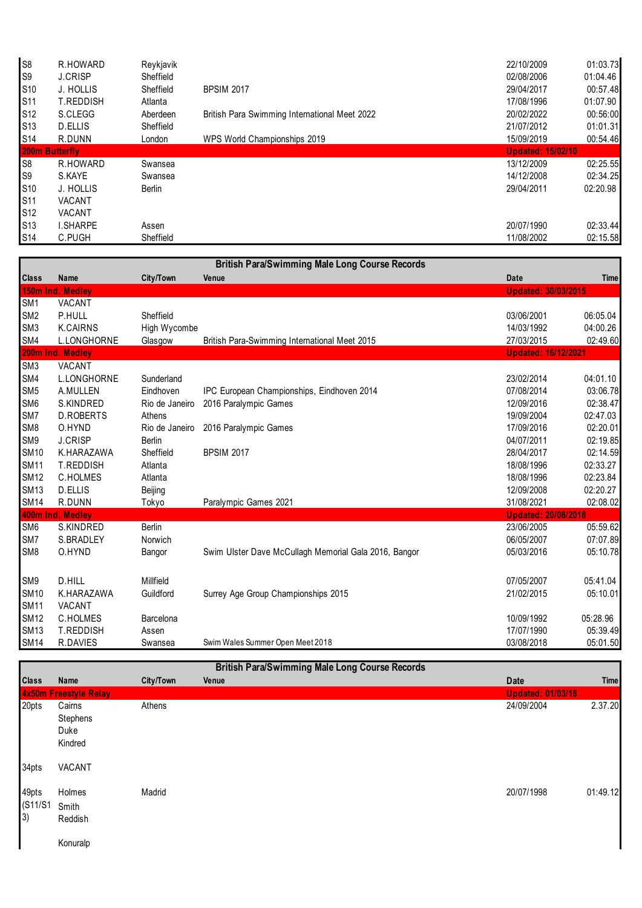| S <sub>8</sub>        | R.HOWARD         | Revkjavik |                                               | 22/10/2009               | 01:03.73 |
|-----------------------|------------------|-----------|-----------------------------------------------|--------------------------|----------|
| S9                    | <b>J.CRISP</b>   | Sheffield |                                               | 02/08/2006               | 01:04.46 |
| S <sub>10</sub>       | J. HOLLIS        | Sheffield | <b>BPSIM 2017</b>                             | 29/04/2017               | 00:57.48 |
| S11                   | <b>T.REDDISH</b> | Atlanta   |                                               | 17/08/1996               | 01:07.90 |
| S <sub>12</sub>       | S.CLEGG          | Aberdeen  | British Para Swimming International Meet 2022 | 20/02/2022               | 00:56:00 |
| S13                   | D.ELLIS          | Sheffield |                                               | 21/07/2012               | 01:01.31 |
| S14                   | R.DUNN           | London    | WPS World Championships 2019                  | 15/09/2019               | 00:54.46 |
| <b>200m Butterfly</b> |                  |           |                                               | <b>Updated: 15/02/10</b> |          |
| S8                    | R.HOWARD         | Swansea   |                                               | 13/12/2009               | 02:25.55 |
| S9                    | S.KAYE           | Swansea   |                                               | 14/12/2008               | 02:34.25 |
| S10                   | J. HOLLIS        | Berlin    |                                               | 29/04/2011               | 02:20.98 |
| S11                   | <b>VACANT</b>    |           |                                               |                          |          |
| S12                   | <b>VACANT</b>    |           |                                               |                          |          |
| S13                   | <b>I.SHARPE</b>  | Assen     |                                               | 20/07/1990               | 02:33.44 |
| S14                   | C.PUGH           | Sheffield |                                               | 11/08/2002               | 02:15.58 |

|                 | <b>British Para/Swimming Male Long Course Records</b> |                |                                                       |                            |          |  |  |
|-----------------|-------------------------------------------------------|----------------|-------------------------------------------------------|----------------------------|----------|--|--|
| <b>Class</b>    | <b>Name</b>                                           | City/Town      | Venue                                                 | Date                       | Time     |  |  |
|                 | 150m Ind. Medley                                      |                |                                                       | <b>Updated: 30/03/2015</b> |          |  |  |
| SM <sub>1</sub> | VACANT                                                |                |                                                       |                            |          |  |  |
| SM <sub>2</sub> | P.HULL                                                | Sheffield      |                                                       | 03/06/2001                 | 06:05.04 |  |  |
| SM <sub>3</sub> | <b>K.CAIRNS</b>                                       | High Wycombe   |                                                       | 14/03/1992                 | 04:00.26 |  |  |
| SM4             | L.LONGHORNE                                           | Glasgow        | <b>British Para-Swimming International Meet 2015</b>  | 27/03/2015                 | 02:49.60 |  |  |
|                 | 200m Ind. Medley                                      |                |                                                       | <b>Updated: 16/12/2021</b> |          |  |  |
| SM <sub>3</sub> | <b>VACANT</b>                                         |                |                                                       |                            |          |  |  |
| SM4             | <b>L.LONGHORNE</b>                                    | Sunderland     |                                                       | 23/02/2014                 | 04:01.10 |  |  |
| SM <sub>5</sub> | A.MULLEN                                              | Eindhoven      | IPC European Championships, Eindhoven 2014            | 07/08/2014                 | 03:06.78 |  |  |
| SM <sub>6</sub> | S.KINDRED                                             | Rio de Janeiro | 2016 Paralympic Games                                 | 12/09/2016                 | 02:38.47 |  |  |
| SM7             | <b>D.ROBERTS</b>                                      | Athens         |                                                       | 19/09/2004                 | 02:47.03 |  |  |
| SM <sub>8</sub> | O.HYND                                                | Rio de Janeiro | 2016 Paralympic Games                                 | 17/09/2016                 | 02:20.01 |  |  |
| SM <sub>9</sub> | <b>J.CRISP</b>                                        | <b>Berlin</b>  |                                                       | 04/07/2011                 | 02:19.85 |  |  |
| <b>SM10</b>     | K.HARAZAWA                                            | Sheffield      | <b>BPSIM 2017</b>                                     | 28/04/2017                 | 02:14.59 |  |  |
| <b>SM11</b>     | <b>T.REDDISH</b>                                      | Atlanta        |                                                       | 18/08/1996                 | 02:33.27 |  |  |
| <b>SM12</b>     | <b>C.HOLMES</b>                                       | Atlanta        |                                                       | 18/08/1996                 | 02:23.84 |  |  |
| <b>SM13</b>     | <b>D.ELLIS</b>                                        | Beijing        |                                                       | 12/09/2008                 | 02:20.27 |  |  |
| <b>SM14</b>     | R.DUNN                                                | Tokyo          | Paralympic Games 2021                                 | 31/08/2021                 | 02:08.02 |  |  |
|                 | 400m Ind. Medley                                      |                |                                                       | <b>Updated: 20/08/2018</b> |          |  |  |
| SM <sub>6</sub> | S.KINDRED                                             | Berlin         |                                                       | 23/06/2005                 | 05:59.62 |  |  |
| SM7             | S.BRADLEY                                             | Norwich        |                                                       | 06/05/2007                 | 07:07.89 |  |  |
| SM <sub>8</sub> | O.HYND                                                | Bangor         | Swim Ulster Dave McCullagh Memorial Gala 2016, Bangor | 05/03/2016                 | 05:10.78 |  |  |
| SM9             | D.HILL                                                | Millfield      |                                                       | 07/05/2007                 | 05:41.04 |  |  |
| <b>SM10</b>     | K.HARAZAWA                                            | Guildford      | Surrey Age Group Championships 2015                   | 21/02/2015                 | 05:10.01 |  |  |
| <b>SM11</b>     | VACANT                                                |                |                                                       |                            |          |  |  |
| <b>SM12</b>     | C.HOLMES                                              | Barcelona      |                                                       | 10/09/1992                 | 05:28.96 |  |  |
| <b>SM13</b>     | T.REDDISH                                             | Assen          |                                                       | 17/07/1990                 | 05:39.49 |  |  |
| <b>SM14</b>     | R.DAVIES                                              | Swansea        | Swim Wales Summer Open Meet 2018                      | 03/08/2018                 | 05:01.50 |  |  |

| <b>British Para/Swimming Male Long Course Records</b> |                                       |                  |       |                          |             |
|-------------------------------------------------------|---------------------------------------|------------------|-------|--------------------------|-------------|
| <b>Class</b>                                          | Name                                  | <b>City/Town</b> | Venue | Date                     | <b>Time</b> |
|                                                       | 4x50m Freestyle Relay                 |                  |       | <b>Updated: 01/03/18</b> |             |
| 20pts                                                 | Cairns<br>Stephens<br>Duke<br>Kindred | Athens           |       | 24/09/2004               | 2.37.20     |
| 34pts                                                 | VACANT                                |                  |       |                          |             |
| 49pts<br>(S11/S1<br>3)                                | Holmes<br>Smith<br>Reddish            | Madrid           |       | 20/07/1998               | 01:49.12    |
|                                                       | Konuralp                              |                  |       |                          |             |